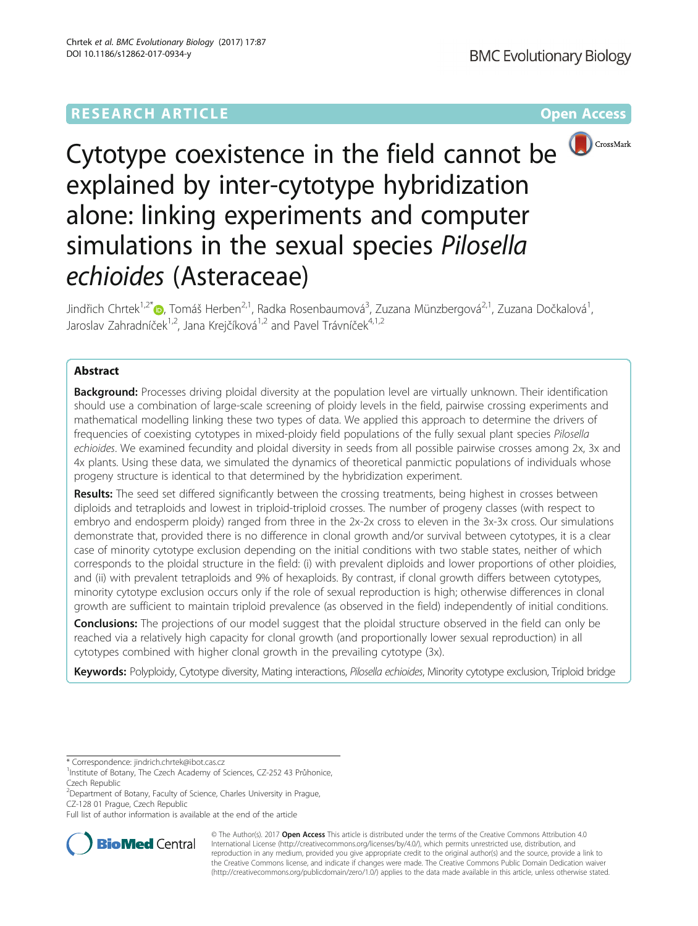# **RESEARCH ARTICLE Example 2014 12:30 The Community Community Community Community Community Community Community**



# Cytotype coexistence in the field cannot be  $\bigcirc$  CrossMark explained by inter-cytotype hybridization alone: linking experiments and computer simulations in the sexual species Pilosella echioides (Asteraceae)

Jindřich Chrtek<sup>1[,](http://orcid.org/0000-0003-1564-7440)2\*</sup>®, Tomáš Herben<sup>2,1</sup>, Radka Rosenbaumová<sup>3</sup>, Zuzana Münzbergová<sup>2,1</sup>, Zuzana Dočkalová<sup>1</sup> , Jaroslav Zahradníček<sup>1,2</sup>, Jana Krejčíková<sup>1,2</sup> and Pavel Trávníček<sup>4,1,2</sup>

# Abstract

**Background:** Processes driving ploidal diversity at the population level are virtually unknown. Their identification should use a combination of large-scale screening of ploidy levels in the field, pairwise crossing experiments and mathematical modelling linking these two types of data. We applied this approach to determine the drivers of frequencies of coexisting cytotypes in mixed-ploidy field populations of the fully sexual plant species Pilosella echioides. We examined fecundity and ploidal diversity in seeds from all possible pairwise crosses among 2x, 3x and 4x plants. Using these data, we simulated the dynamics of theoretical panmictic populations of individuals whose progeny structure is identical to that determined by the hybridization experiment.

Results: The seed set differed significantly between the crossing treatments, being highest in crosses between diploids and tetraploids and lowest in triploid-triploid crosses. The number of progeny classes (with respect to embryo and endosperm ploidy) ranged from three in the 2x-2x cross to eleven in the 3x-3x cross. Our simulations demonstrate that, provided there is no difference in clonal growth and/or survival between cytotypes, it is a clear case of minority cytotype exclusion depending on the initial conditions with two stable states, neither of which corresponds to the ploidal structure in the field: (i) with prevalent diploids and lower proportions of other ploidies, and (ii) with prevalent tetraploids and 9% of hexaploids. By contrast, if clonal growth differs between cytotypes, minority cytotype exclusion occurs only if the role of sexual reproduction is high; otherwise differences in clonal growth are sufficient to maintain triploid prevalence (as observed in the field) independently of initial conditions.

**Conclusions:** The projections of our model suggest that the ploidal structure observed in the field can only be reached via a relatively high capacity for clonal growth (and proportionally lower sexual reproduction) in all cytotypes combined with higher clonal growth in the prevailing cytotype (3x).

Keywords: Polyploidy, Cytotype diversity, Mating interactions, Pilosella echioides, Minority cytotype exclusion, Triploid bridge

<sup>2</sup> Department of Botany, Faculty of Science, Charles University in Prague, CZ-128 01 Prague, Czech Republic

Full list of author information is available at the end of the article



© The Author(s). 2017 **Open Access** This article is distributed under the terms of the Creative Commons Attribution 4.0 International License [\(http://creativecommons.org/licenses/by/4.0/](http://creativecommons.org/licenses/by/4.0/)), which permits unrestricted use, distribution, and reproduction in any medium, provided you give appropriate credit to the original author(s) and the source, provide a link to the Creative Commons license, and indicate if changes were made. The Creative Commons Public Domain Dedication waiver [\(http://creativecommons.org/publicdomain/zero/1.0/](http://creativecommons.org/publicdomain/zero/1.0/)) applies to the data made available in this article, unless otherwise stated.

<sup>\*</sup> Correspondence: [jindrich.chrtek@ibot.cas.cz](mailto:jindrich.chrtek@ibot.cas.cz) <sup>1</sup>

<sup>&</sup>lt;sup>1</sup>Institute of Botany, The Czech Academy of Sciences, CZ-252 43 Průhonice, Czech Republic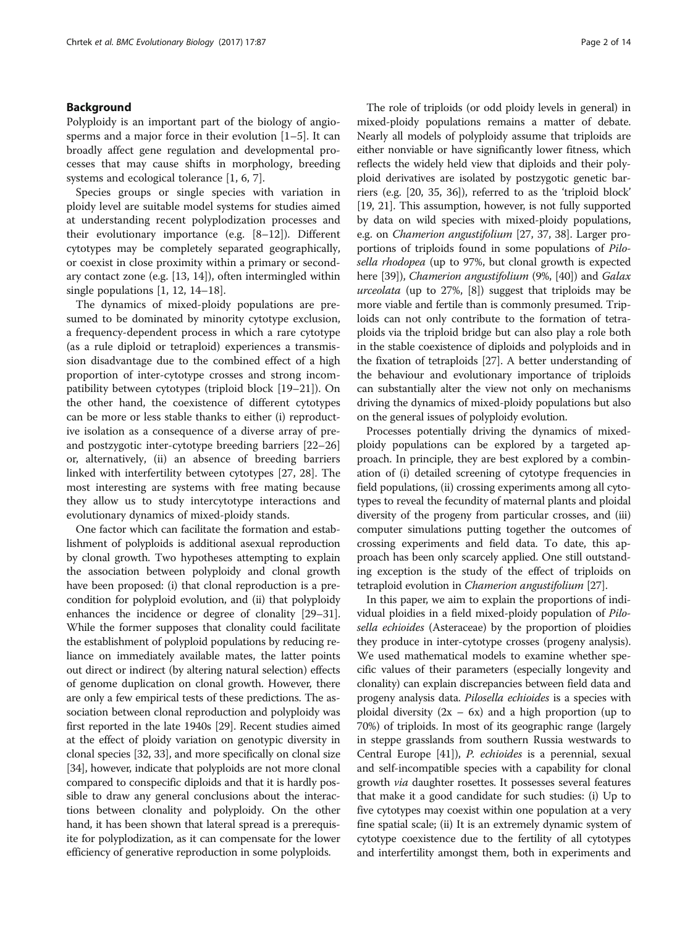## Background

Polyploidy is an important part of the biology of angiosperms and a major force in their evolution [[1](#page-12-0)–[5](#page-12-0)]. It can broadly affect gene regulation and developmental processes that may cause shifts in morphology, breeding systems and ecological tolerance [[1, 6, 7\]](#page-12-0).

Species groups or single species with variation in ploidy level are suitable model systems for studies aimed at understanding recent polyplodization processes and their evolutionary importance (e.g. [\[8](#page-12-0)–[12](#page-12-0)]). Different cytotypes may be completely separated geographically, or coexist in close proximity within a primary or secondary contact zone (e.g. [[13, 14](#page-12-0)]), often intermingled within single populations [\[1, 12, 14](#page-12-0)–[18](#page-12-0)].

The dynamics of mixed-ploidy populations are presumed to be dominated by minority cytotype exclusion, a frequency-dependent process in which a rare cytotype (as a rule diploid or tetraploid) experiences a transmission disadvantage due to the combined effect of a high proportion of inter-cytotype crosses and strong incompatibility between cytotypes (triploid block [[19](#page-12-0)–[21](#page-12-0)]). On the other hand, the coexistence of different cytotypes can be more or less stable thanks to either (i) reproductive isolation as a consequence of a diverse array of preand postzygotic inter-cytotype breeding barriers [[22](#page-12-0)–[26](#page-12-0)] or, alternatively, (ii) an absence of breeding barriers linked with interfertility between cytotypes [\[27](#page-12-0), [28\]](#page-12-0). The most interesting are systems with free mating because they allow us to study intercytotype interactions and evolutionary dynamics of mixed-ploidy stands.

One factor which can facilitate the formation and establishment of polyploids is additional asexual reproduction by clonal growth. Two hypotheses attempting to explain the association between polyploidy and clonal growth have been proposed: (i) that clonal reproduction is a precondition for polyploid evolution, and (ii) that polyploidy enhances the incidence or degree of clonality [\[29](#page-12-0)–[31](#page-12-0)]. While the former supposes that clonality could facilitate the establishment of polyploid populations by reducing reliance on immediately available mates, the latter points out direct or indirect (by altering natural selection) effects of genome duplication on clonal growth. However, there are only a few empirical tests of these predictions. The association between clonal reproduction and polyploidy was first reported in the late 1940s [[29](#page-12-0)]. Recent studies aimed at the effect of ploidy variation on genotypic diversity in clonal species [\[32, 33](#page-12-0)], and more specifically on clonal size [[34](#page-12-0)], however, indicate that polyploids are not more clonal compared to conspecific diploids and that it is hardly possible to draw any general conclusions about the interactions between clonality and polyploidy. On the other hand, it has been shown that lateral spread is a prerequisite for polyplodization, as it can compensate for the lower efficiency of generative reproduction in some polyploids.

The role of triploids (or odd ploidy levels in general) in mixed-ploidy populations remains a matter of debate. Nearly all models of polyploidy assume that triploids are either nonviable or have significantly lower fitness, which reflects the widely held view that diploids and their polyploid derivatives are isolated by postzygotic genetic barriers (e.g. [[20](#page-12-0), [35](#page-12-0), [36\]](#page-12-0)), referred to as the 'triploid block' [[19](#page-12-0), [21](#page-12-0)]. This assumption, however, is not fully supported by data on wild species with mixed-ploidy populations, e.g. on Chamerion angustifolium [[27](#page-12-0), [37](#page-12-0), [38](#page-12-0)]. Larger proportions of triploids found in some populations of Pilosella rhodopea (up to 97%, but clonal growth is expected here [\[39\]](#page-12-0)), *Chamerion angustifolium* (9%, [\[40\]](#page-12-0)) and *Galax*  $ureolata$  (up to 27%,  $[8]$  $[8]$ ) suggest that triploids may be more viable and fertile than is commonly presumed. Triploids can not only contribute to the formation of tetraploids via the triploid bridge but can also play a role both in the stable coexistence of diploids and polyploids and in the fixation of tetraploids [\[27\]](#page-12-0). A better understanding of the behaviour and evolutionary importance of triploids can substantially alter the view not only on mechanisms driving the dynamics of mixed-ploidy populations but also on the general issues of polyploidy evolution.

Processes potentially driving the dynamics of mixedploidy populations can be explored by a targeted approach. In principle, they are best explored by a combination of (i) detailed screening of cytotype frequencies in field populations, (ii) crossing experiments among all cytotypes to reveal the fecundity of maternal plants and ploidal diversity of the progeny from particular crosses, and (iii) computer simulations putting together the outcomes of crossing experiments and field data. To date, this approach has been only scarcely applied. One still outstanding exception is the study of the effect of triploids on tetraploid evolution in Chamerion angustifolium [[27\]](#page-12-0).

In this paper, we aim to explain the proportions of individual ploidies in a field mixed-ploidy population of Pilosella echioides (Asteraceae) by the proportion of ploidies they produce in inter-cytotype crosses (progeny analysis). We used mathematical models to examine whether specific values of their parameters (especially longevity and clonality) can explain discrepancies between field data and progeny analysis data. Pilosella echioides is a species with ploidal diversity  $(2x - 6x)$  and a high proportion (up to 70%) of triploids. In most of its geographic range (largely in steppe grasslands from southern Russia westwards to Central Europe [\[41\]](#page-12-0)), P. echioides is a perennial, sexual and self-incompatible species with a capability for clonal growth *via* daughter rosettes. It possesses several features that make it a good candidate for such studies: (i) Up to five cytotypes may coexist within one population at a very fine spatial scale; (ii) It is an extremely dynamic system of cytotype coexistence due to the fertility of all cytotypes and interfertility amongst them, both in experiments and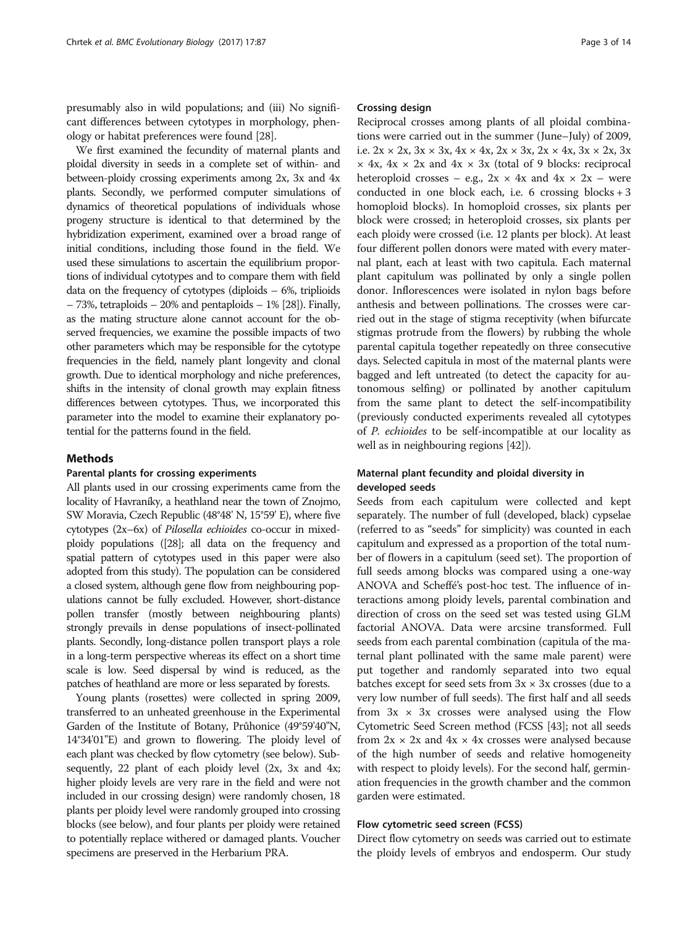presumably also in wild populations; and (iii) No significant differences between cytotypes in morphology, phenology or habitat preferences were found [\[28\]](#page-12-0).

We first examined the fecundity of maternal plants and ploidal diversity in seeds in a complete set of within- and between-ploidy crossing experiments among 2x, 3x and 4x plants. Secondly, we performed computer simulations of dynamics of theoretical populations of individuals whose progeny structure is identical to that determined by the hybridization experiment, examined over a broad range of initial conditions, including those found in the field. We used these simulations to ascertain the equilibrium proportions of individual cytotypes and to compare them with field data on the frequency of cytotypes (diploids  $-6\%$ , triplioids – 73%, tetraploids – 20% and pentaploids – 1% [[28\]](#page-12-0)). Finally, as the mating structure alone cannot account for the observed frequencies, we examine the possible impacts of two other parameters which may be responsible for the cytotype frequencies in the field, namely plant longevity and clonal growth. Due to identical morphology and niche preferences, shifts in the intensity of clonal growth may explain fitness differences between cytotypes. Thus, we incorporated this parameter into the model to examine their explanatory potential for the patterns found in the field.

## Methods

#### Parental plants for crossing experiments

All plants used in our crossing experiments came from the locality of Havraníky, a heathland near the town of Znojmo, SW Moravia, Czech Republic (48°48' N, 15°59' E), where five cytotypes (2x–6x) of Pilosella echioides co-occur in mixedploidy populations ([[28\]](#page-12-0); all data on the frequency and spatial pattern of cytotypes used in this paper were also adopted from this study). The population can be considered a closed system, although gene flow from neighbouring populations cannot be fully excluded. However, short-distance pollen transfer (mostly between neighbouring plants) strongly prevails in dense populations of insect-pollinated plants. Secondly, long-distance pollen transport plays a role in a long-term perspective whereas its effect on a short time scale is low. Seed dispersal by wind is reduced, as the patches of heathland are more or less separated by forests.

Young plants (rosettes) were collected in spring 2009, transferred to an unheated greenhouse in the Experimental Garden of the Institute of Botany, Průhonice (49°59'40"N, 14°34'01"E) and grown to flowering. The ploidy level of each plant was checked by flow cytometry (see below). Subsequently, 22 plant of each ploidy level (2x, 3x and 4x; higher ploidy levels are very rare in the field and were not included in our crossing design) were randomly chosen, 18 plants per ploidy level were randomly grouped into crossing blocks (see below), and four plants per ploidy were retained to potentially replace withered or damaged plants. Voucher specimens are preserved in the Herbarium PRA.

#### Crossing design

Reciprocal crosses among plants of all ploidal combinations were carried out in the summer (June–July) of 2009, i.e.  $2x \times 2x$ ,  $3x \times 3x$ ,  $4x \times 4x$ ,  $2x \times 3x$ ,  $2x \times 4x$ ,  $3x \times 2x$ ,  $3x$  $\times$  4x, 4x  $\times$  2x and 4x  $\times$  3x (total of 9 blocks: reciprocal heteroploid crosses – e.g.,  $2x \times 4x$  and  $4x \times 2x$  – were conducted in one block each, i.e. 6 crossing blocks + 3 homoploid blocks). In homoploid crosses, six plants per block were crossed; in heteroploid crosses, six plants per each ploidy were crossed (i.e. 12 plants per block). At least four different pollen donors were mated with every maternal plant, each at least with two capitula. Each maternal plant capitulum was pollinated by only a single pollen donor. Inflorescences were isolated in nylon bags before anthesis and between pollinations. The crosses were carried out in the stage of stigma receptivity (when bifurcate stigmas protrude from the flowers) by rubbing the whole parental capitula together repeatedly on three consecutive days. Selected capitula in most of the maternal plants were bagged and left untreated (to detect the capacity for autonomous selfing) or pollinated by another capitulum from the same plant to detect the self-incompatibility (previously conducted experiments revealed all cytotypes of P. echioides to be self-incompatible at our locality as well as in neighbouring regions [\[42\]](#page-12-0)).

## Maternal plant fecundity and ploidal diversity in developed seeds

Seeds from each capitulum were collected and kept separately. The number of full (developed, black) cypselae (referred to as "seeds" for simplicity) was counted in each capitulum and expressed as a proportion of the total number of flowers in a capitulum (seed set). The proportion of full seeds among blocks was compared using a one-way ANOVA and Scheffé's post-hoc test. The influence of interactions among ploidy levels, parental combination and direction of cross on the seed set was tested using GLM factorial ANOVA. Data were arcsine transformed. Full seeds from each parental combination (capitula of the maternal plant pollinated with the same male parent) were put together and randomly separated into two equal batches except for seed sets from  $3x \times 3x$  crosses (due to a very low number of full seeds). The first half and all seeds from  $3x \times 3x$  crosses were analysed using the Flow Cytometric Seed Screen method (FCSS [\[43\]](#page-12-0); not all seeds from  $2x \times 2x$  and  $4x \times 4x$  crosses were analysed because of the high number of seeds and relative homogeneity with respect to ploidy levels). For the second half, germination frequencies in the growth chamber and the common garden were estimated.

#### Flow cytometric seed screen (FCSS)

Direct flow cytometry on seeds was carried out to estimate the ploidy levels of embryos and endosperm. Our study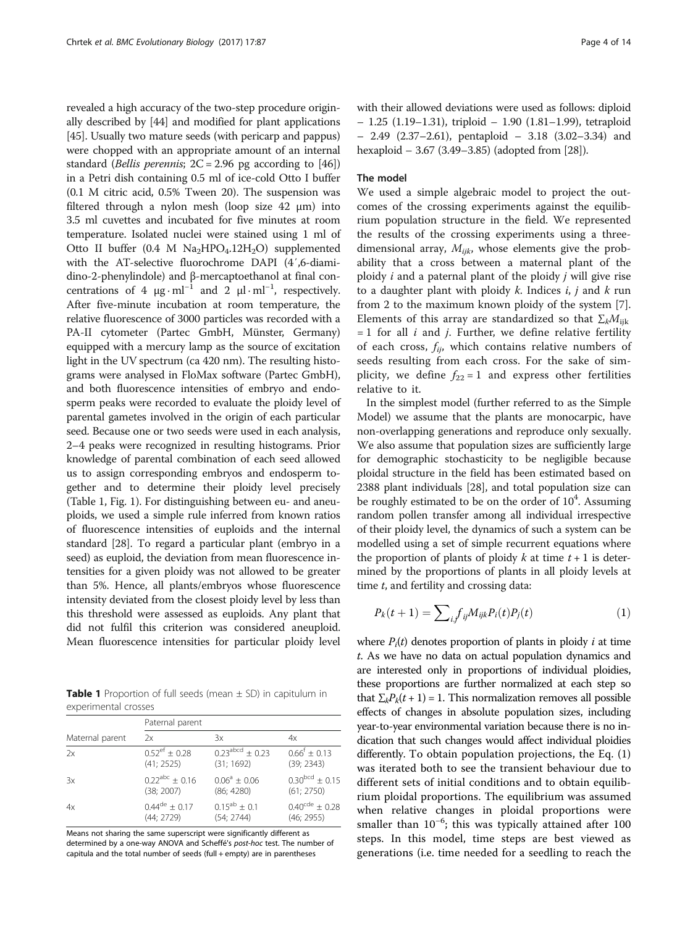<span id="page-3-0"></span>revealed a high accuracy of the two-step procedure originally described by [[44\]](#page-12-0) and modified for plant applications [[45](#page-12-0)]. Usually two mature seeds (with pericarp and pappus) were chopped with an appropriate amount of an internal standard (Bellis perennis;  $2C = 2.96$  pg according to  $[46]$  $[46]$  $[46]$ ) in a Petri dish containing 0.5 ml of ice-cold Otto I buffer (0.1 M citric acid, 0.5% Tween 20). The suspension was filtered through a nylon mesh (loop size 42 μm) into 3.5 ml cuvettes and incubated for five minutes at room temperature. Isolated nuclei were stained using 1 ml of Otto II buffer  $(0.4 \text{ M } Na<sub>2</sub>HPO<sub>4</sub>$ .12H<sub>2</sub>O) supplemented with the AT-selective fluorochrome DAPI (4′,6-diamidino-2-phenylindole) and β-mercaptoethanol at final concentrations of 4  $\mu$ g · ml<sup>-1</sup> and 2  $\mu$ l · ml<sup>-1</sup>, respectively. After five-minute incubation at room temperature, the relative fluorescence of 3000 particles was recorded with a PA-II cytometer (Partec GmbH, Münster, Germany) equipped with a mercury lamp as the source of excitation light in the UV spectrum (ca 420 nm). The resulting histograms were analysed in FloMax software (Partec GmbH), and both fluorescence intensities of embryo and endosperm peaks were recorded to evaluate the ploidy level of parental gametes involved in the origin of each particular seed. Because one or two seeds were used in each analysis, 2–4 peaks were recognized in resulting histograms. Prior knowledge of parental combination of each seed allowed us to assign corresponding embryos and endosperm together and to determine their ploidy level precisely (Table 1, Fig. [1\)](#page-4-0). For distinguishing between eu- and aneuploids, we used a simple rule inferred from known ratios of fluorescence intensities of euploids and the internal standard [\[28\]](#page-12-0). To regard a particular plant (embryo in a seed) as euploid, the deviation from mean fluorescence intensities for a given ploidy was not allowed to be greater than 5%. Hence, all plants/embryos whose fluorescence intensity deviated from the closest ploidy level by less than this threshold were assessed as euploids. Any plant that did not fulfil this criterion was considered aneuploid. Mean fluorescence intensities for particular ploidy level

**Table 1** Proportion of full seeds (mean  $\pm$  SD) in capitulum in experimental crosses

|                 | Paternal parent           |                      |                              |  |  |
|-----------------|---------------------------|----------------------|------------------------------|--|--|
| Maternal parent | 2x                        | 3x                   | 4х                           |  |  |
| 2x              | $0.52^{\text{ef}} + 0.28$ | $0.23^{abcd} + 0.23$ | $0.66^{f} \pm 0.13$          |  |  |
|                 | (41; 2525)                | (31; 1692)           | (39; 2343)                   |  |  |
| 3x              | $0.22^{abc} + 0.16$       | $0.06^a \pm 0.06$    | $0.30^{bcd} \pm 0.15$        |  |  |
|                 | (38; 2007)                | (86; 4280)           | (61; 2750)                   |  |  |
| 4x              | $0.44^{\text{de}} + 0.17$ | $0.15^{ab} \pm 0.1$  | $0.40^{\text{cde}} \pm 0.28$ |  |  |
|                 | (44; 2729)                | (54; 2744)           | (46; 2955)                   |  |  |

Means not sharing the same superscript were significantly different as determined by a one-way ANOVA and Scheffé's post-hoc test. The number of capitula and the total number of seeds (full + empty) are in parentheses

with their allowed deviations were used as follows: diploid – 1.25 (1.19–1.31), triploid – 1.90 (1.81–1.99), tetraploid – 2.49 (2.37–2.61), pentaploid – 3.18 (3.02–3.34) and hexaploid – 3.67 (3.49–3.85) (adopted from [\[28](#page-12-0)]).

## The model

We used a simple algebraic model to project the outcomes of the crossing experiments against the equilibrium population structure in the field. We represented the results of the crossing experiments using a threedimensional array,  $M_{ijk}$ , whose elements give the probability that a cross between a maternal plant of the ploidy  $i$  and a paternal plant of the ploidy  $j$  will give rise to a daughter plant with ploidy  $k$ . Indices  $i, j$  and  $k$  run from 2 to the maximum known ploidy of the system [\[7](#page-12-0)]. Elements of this array are standardized so that  $\Sigma_k M_{ijk}$  $= 1$  for all *i* and *j*. Further, we define relative fertility of each cross,  $f_{ii}$ , which contains relative numbers of seeds resulting from each cross. For the sake of simplicity, we define  $f_{22} = 1$  and express other fertilities relative to it.

In the simplest model (further referred to as the Simple Model) we assume that the plants are monocarpic, have non-overlapping generations and reproduce only sexually. We also assume that population sizes are sufficiently large for demographic stochasticity to be negligible because ploidal structure in the field has been estimated based on 2388 plant individuals [\[28\]](#page-12-0), and total population size can be roughly estimated to be on the order of  $10<sup>4</sup>$ . Assuming random pollen transfer among all individual irrespective of their ploidy level, the dynamics of such a system can be modelled using a set of simple recurrent equations where the proportion of plants of ploidy k at time  $t + 1$  is determined by the proportions of plants in all ploidy levels at time  $t$ , and fertility and crossing data:

$$
P_k(t+1) = \sum_{i,j} f_{ij} M_{ijk} P_i(t) P_j(t) \tag{1}
$$

where  $P_i(t)$  denotes proportion of plants in ploidy *i* at time t. As we have no data on actual population dynamics and are interested only in proportions of individual ploidies, these proportions are further normalized at each step so that  $\sum_{k}P_{k}(t+1)=1$ . This normalization removes all possible effects of changes in absolute population sizes, including year-to-year environmental variation because there is no indication that such changes would affect individual ploidies differently. To obtain population projections, the Eq. (1) was iterated both to see the transient behaviour due to different sets of initial conditions and to obtain equilibrium ploidal proportions. The equilibrium was assumed when relative changes in ploidal proportions were smaller than 10<sup>-6</sup>; this was typically attained after 100 steps. In this model, time steps are best viewed as generations (i.e. time needed for a seedling to reach the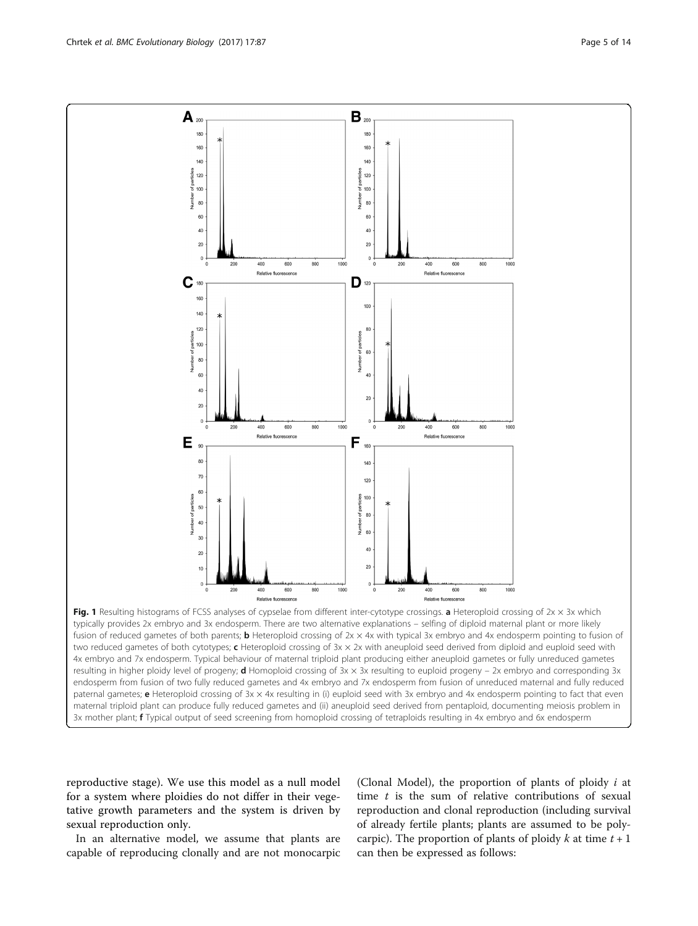reproductive stage). We use this model as a null model for a system where ploidies do not differ in their vegetative growth parameters and the system is driven by sexual reproduction only.

In an alternative model, we assume that plants are capable of reproducing clonally and are not monocarpic

(Clonal Model), the proportion of plants of ploidy  $i$  at time  $t$  is the sum of relative contributions of sexual reproduction and clonal reproduction (including survival of already fertile plants; plants are assumed to be polycarpic). The proportion of plants of ploidy k at time  $t + 1$ can then be expressed as follows:

Fig. 1 Resulting histograms of FCSS analyses of cypselae from different inter-cytotype crossings. a Heteroploid crossing of  $2x \times 3x$  which typically provides 2x embryo and 3x endosperm. There are two alternative explanations – selfing of diploid maternal plant or more likely fusion of reduced gametes of both parents; **b** Heteroploid crossing of 2x × 4x with typical 3x embryo and 4x endosperm pointing to fusion of two reduced gametes of both cytotypes;  $c$  Heteroploid crossing of  $3x \times 2x$  with aneuploid seed derived from diploid and euploid seed with 4x embryo and 7x endosperm. Typical behaviour of maternal triploid plant producing either aneuploid gametes or fully unreduced gametes resulting in higher ploidy level of progeny; **d** Homoploid crossing of  $3x \times 3x$  resulting to euploid progeny – 2x embryo and corresponding  $3x$ endosperm from fusion of two fully reduced gametes and 4x embryo and 7x endosperm from fusion of unreduced maternal and fully reduced paternal gametes; e Heteroploid crossing of 3x × 4x resulting in (i) euploid seed with 3x embryo and 4x endosperm pointing to fact that even maternal triploid plant can produce fully reduced gametes and (ii) aneuploid seed derived from pentaploid, documenting meiosis problem in 3x mother plant; **f** Typical output of seed screening from homoploid crossing of tetraploids resulting in 4x embryo and 6x endosperm

<span id="page-4-0"></span>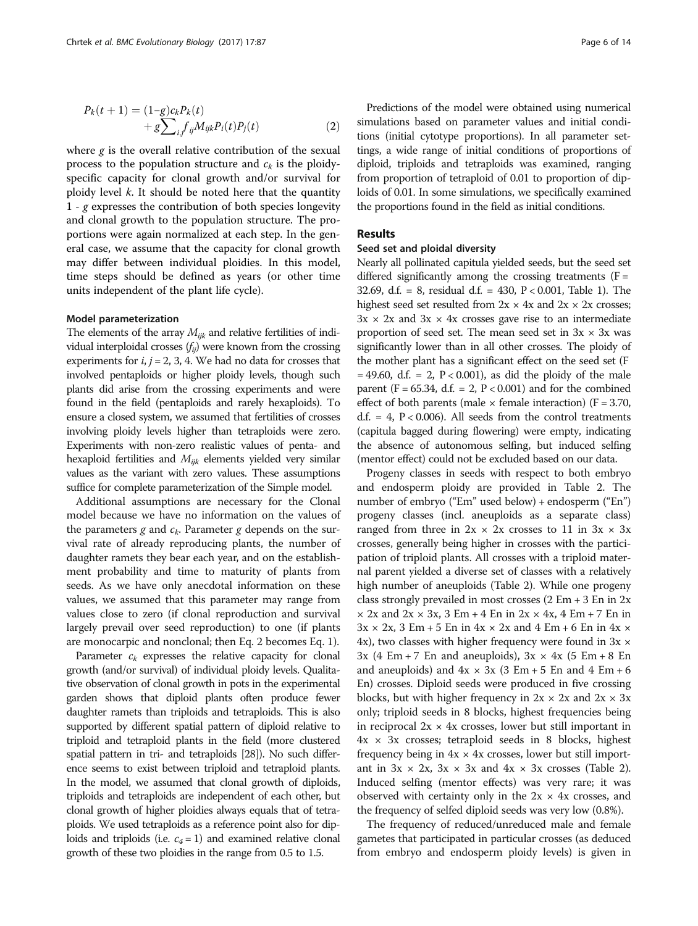$$
P_k(t+1) = (1-g)c_k P_k(t) + g \sum_{i} f_{ij} M_{ijk} P_i(t) P_j(t)
$$
 (2)

where  $g$  is the overall relative contribution of the sexual process to the population structure and  $c_k$  is the ploidyspecific capacity for clonal growth and/or survival for ploidy level  $k$ . It should be noted here that the quantity  $1 - g$  expresses the contribution of both species longevity and clonal growth to the population structure. The proportions were again normalized at each step. In the general case, we assume that the capacity for clonal growth may differ between individual ploidies. In this model, time steps should be defined as years (or other time units independent of the plant life cycle).

#### Model parameterization

The elements of the array  $M_{ijk}$  and relative fertilities of individual interploidal crosses  $(f_{ii})$  were known from the crossing experiments for  $i, j = 2, 3, 4$ . We had no data for crosses that involved pentaploids or higher ploidy levels, though such plants did arise from the crossing experiments and were found in the field (pentaploids and rarely hexaploids). To ensure a closed system, we assumed that fertilities of crosses involving ploidy levels higher than tetraploids were zero. Experiments with non-zero realistic values of penta- and hexaploid fertilities and  $M_{ijk}$  elements yielded very similar values as the variant with zero values. These assumptions suffice for complete parameterization of the Simple model.

Additional assumptions are necessary for the Clonal model because we have no information on the values of the parameters  $g$  and  $c_k$ . Parameter  $g$  depends on the survival rate of already reproducing plants, the number of daughter ramets they bear each year, and on the establishment probability and time to maturity of plants from seeds. As we have only anecdotal information on these values, we assumed that this parameter may range from values close to zero (if clonal reproduction and survival largely prevail over seed reproduction) to one (if plants are monocarpic and nonclonal; then Eq. 2 becomes Eq. [1](#page-3-0)).

Parameter  $c_k$  expresses the relative capacity for clonal growth (and/or survival) of individual ploidy levels. Qualitative observation of clonal growth in pots in the experimental garden shows that diploid plants often produce fewer daughter ramets than triploids and tetraploids. This is also supported by different spatial pattern of diploid relative to triploid and tetraploid plants in the field (more clustered spatial pattern in tri- and tetraploids [[28](#page-12-0)]). No such difference seems to exist between triploid and tetraploid plants. In the model, we assumed that clonal growth of diploids, triploids and tetraploids are independent of each other, but clonal growth of higher ploidies always equals that of tetraploids. We used tetraploids as a reference point also for diploids and triploids (i.e.  $c_4 = 1$ ) and examined relative clonal growth of these two ploidies in the range from 0.5 to 1.5.

Predictions of the model were obtained using numerical simulations based on parameter values and initial conditions (initial cytotype proportions). In all parameter settings, a wide range of initial conditions of proportions of diploid, triploids and tetraploids was examined, ranging from proportion of tetraploid of 0.01 to proportion of diploids of 0.01. In some simulations, we specifically examined the proportions found in the field as initial conditions.

# Results

## Seed set and ploidal diversity

Nearly all pollinated capitula yielded seeds, but the seed set differed significantly among the crossing treatments  $(F =$ 32.69, d.f. = 8, residual d.f. = 430, P < 0.001, Table [1](#page-3-0)). The highest seed set resulted from  $2x \times 4x$  and  $2x \times 2x$  crosses;  $3x \times 2x$  and  $3x \times 4x$  crosses gave rise to an intermediate proportion of seed set. The mean seed set in  $3x \times 3x$  was significantly lower than in all other crosses. The ploidy of the mother plant has a significant effect on the seed set (F  $= 49.60$ , d.f.  $= 2$ ,  $P < 0.001$ ), as did the ploidy of the male parent (F =  $65.34$ , d.f. = 2, P < 0.001) and for the combined effect of both parents (male  $\times$  female interaction) (F = 3.70, d.f. = 4,  $P < 0.006$ ). All seeds from the control treatments (capitula bagged during flowering) were empty, indicating the absence of autonomous selfing, but induced selfing (mentor effect) could not be excluded based on our data.

Progeny classes in seeds with respect to both embryo and endosperm ploidy are provided in Table [2](#page-6-0). The number of embryo ("Em" used below) + endosperm ("En") progeny classes (incl. aneuploids as a separate class) ranged from three in  $2x \times 2x$  crosses to 11 in  $3x \times 3x$ crosses, generally being higher in crosses with the participation of triploid plants. All crosses with a triploid maternal parent yielded a diverse set of classes with a relatively high number of aneuploids (Table [2\)](#page-6-0). While one progeny class strongly prevailed in most crosses  $(2 Em + 3 En)$  in  $2x$  $\times$  2x and 2x  $\times$  3x, 3 Em + 4 En in 2x  $\times$  4x, 4 Em + 7 En in  $3x \times 2x$ ,  $3 \text{ Em} + 5 \text{ En in } 4x \times 2x$  and  $4 \text{ Em} + 6 \text{ En in } 4x \times$ 4x), two classes with higher frequency were found in  $3x \times$  $3x$  (4 Em + 7 En and aneuploids),  $3x \times 4x$  (5 Em + 8 En and aneuploids) and  $4x \times 3x$  (3 Em + 5 En and 4 Em + 6 En) crosses. Diploid seeds were produced in five crossing blocks, but with higher frequency in  $2x \times 2x$  and  $2x \times 3x$ only; triploid seeds in 8 blocks, highest frequencies being in reciprocal  $2x \times 4x$  crosses, lower but still important in  $4x \times 3x$  crosses; tetraploid seeds in 8 blocks, highest frequency being in  $4x \times 4x$  crosses, lower but still important in  $3x \times 2x$  $3x \times 2x$  $3x \times 2x$ ,  $3x \times 3x$  and  $4x \times 3x$  crosses (Table 2). Induced selfing (mentor effects) was very rare; it was observed with certainty only in the  $2x \times 4x$  crosses, and the frequency of selfed diploid seeds was very low (0.8%).

The frequency of reduced/unreduced male and female gametes that participated in particular crosses (as deduced from embryo and endosperm ploidy levels) is given in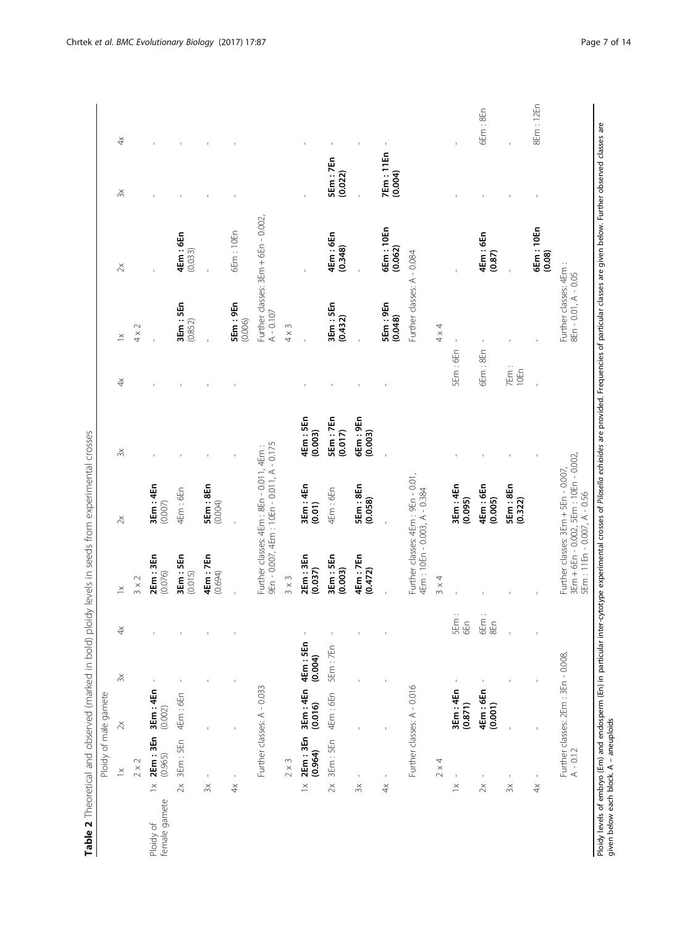<span id="page-6-0"></span>

| 4Em: 5En<br>SEm:7En<br>6Em:9En<br>(0.017)<br>(0.003)<br>(0.003)<br>9En - 0.007, 4Em : 10En - 0.011, A - 0.175<br>Further classes: 4Em : 8En - 0.011, 4Em :<br>$\gtrsim$<br>Further classes: 4Em : 9En - 0.01,<br>5Em:8En<br>3Em: 4En<br>3Em: 4En<br>5Em:8En<br>3 Em : 4 En<br>4Em : 6En<br>4Em:6En<br>4Em:6En<br>4Em: 10En - 0.003, A - 0.384<br>(0.058)<br>(0.095)<br>(0.004)<br>(0.007)<br>(0.01)<br>$\mathbb{X}$<br>4Em : 7En<br>2Em:3En<br>3Em: 5En<br>2Em:3En<br>3Em: 5En<br>4Em:7En<br>(0.003)<br>(0.037)<br>(0.472)<br>(0.015)<br>(0.694)<br>(0.076)<br>$3 \times 3$<br>$3 \times 4$<br>$3 \times 2$<br>$\geq$<br>5Em:<br>6Em<br>6En<br>$\stackrel{\times}{\exists}$<br>4Em: 5En<br>5Em:7En<br>(0.004)<br>$\gtrsim$<br>Further classes: A - 0.016<br>Further classes: A - 0.033<br>3Em: 4En<br>3Em: 4En<br>3Em: 4En<br>4Em:6En<br>4Em:6En<br>4Em:6En<br>(0.016)<br>(0.871)<br>(0.002)<br>$\gtrsim$<br>2Em:3En<br>2Em:3En<br>3Em: 5En<br>3Em: 5En<br>(0.964)<br>(0.965)<br>$2 \times 2$<br>$2 \times 3$<br>$2 \times 4$<br>$\geq$<br>$\,$<br>$\,$<br>$\mathfrak l$<br>$\mathbf{I}$<br>$\mathsf I$<br>ı<br>$\geq$<br>$\geq$<br>$\geq$<br>$\geq$<br>$\geq$<br>$\stackrel{\times}{\scriptstyle\sim}$<br>$\stackrel{\times}{\scriptstyle\sim}$<br>$\stackrel{\times}{\exists}$<br>$\stackrel{\times}{\cdot}$<br>$\stackrel{\times}{\rightarrow}$<br>female gamete<br>Ploidy of |     |         | $\frac{x}{4}$<br>$\geq$<br>$\breve{\div}$ | 5Em:9En<br>3Em: 5En<br>(0.852)<br>$\sim$       | $\gtrsim$                           | $\breve{+}$<br>$\gtrsim$   |
|----------------------------------------------------------------------------------------------------------------------------------------------------------------------------------------------------------------------------------------------------------------------------------------------------------------------------------------------------------------------------------------------------------------------------------------------------------------------------------------------------------------------------------------------------------------------------------------------------------------------------------------------------------------------------------------------------------------------------------------------------------------------------------------------------------------------------------------------------------------------------------------------------------------------------------------------------------------------------------------------------------------------------------------------------------------------------------------------------------------------------------------------------------------------------------------------------------------------------------------------------------------------------------------------------------------------------------------------------------------------------------|-----|---------|-------------------------------------------|------------------------------------------------|-------------------------------------|----------------------------|
|                                                                                                                                                                                                                                                                                                                                                                                                                                                                                                                                                                                                                                                                                                                                                                                                                                                                                                                                                                                                                                                                                                                                                                                                                                                                                                                                                                                  |     |         |                                           |                                                |                                     |                            |
|                                                                                                                                                                                                                                                                                                                                                                                                                                                                                                                                                                                                                                                                                                                                                                                                                                                                                                                                                                                                                                                                                                                                                                                                                                                                                                                                                                                  |     |         |                                           |                                                |                                     |                            |
|                                                                                                                                                                                                                                                                                                                                                                                                                                                                                                                                                                                                                                                                                                                                                                                                                                                                                                                                                                                                                                                                                                                                                                                                                                                                                                                                                                                  |     |         |                                           |                                                |                                     |                            |
|                                                                                                                                                                                                                                                                                                                                                                                                                                                                                                                                                                                                                                                                                                                                                                                                                                                                                                                                                                                                                                                                                                                                                                                                                                                                                                                                                                                  |     |         |                                           |                                                | 4Em : 6En<br>(0.033)                |                            |
|                                                                                                                                                                                                                                                                                                                                                                                                                                                                                                                                                                                                                                                                                                                                                                                                                                                                                                                                                                                                                                                                                                                                                                                                                                                                                                                                                                                  |     |         |                                           |                                                |                                     |                            |
|                                                                                                                                                                                                                                                                                                                                                                                                                                                                                                                                                                                                                                                                                                                                                                                                                                                                                                                                                                                                                                                                                                                                                                                                                                                                                                                                                                                  |     |         |                                           | (0.006)                                        | 6Em: 10En                           |                            |
|                                                                                                                                                                                                                                                                                                                                                                                                                                                                                                                                                                                                                                                                                                                                                                                                                                                                                                                                                                                                                                                                                                                                                                                                                                                                                                                                                                                  |     |         |                                           | $A - 0.107$                                    | Further classes: 3Em + 6En - 0.002, |                            |
|                                                                                                                                                                                                                                                                                                                                                                                                                                                                                                                                                                                                                                                                                                                                                                                                                                                                                                                                                                                                                                                                                                                                                                                                                                                                                                                                                                                  |     |         |                                           | $4 \times 3$                                   |                                     |                            |
|                                                                                                                                                                                                                                                                                                                                                                                                                                                                                                                                                                                                                                                                                                                                                                                                                                                                                                                                                                                                                                                                                                                                                                                                                                                                                                                                                                                  |     |         |                                           |                                                |                                     |                            |
|                                                                                                                                                                                                                                                                                                                                                                                                                                                                                                                                                                                                                                                                                                                                                                                                                                                                                                                                                                                                                                                                                                                                                                                                                                                                                                                                                                                  |     |         |                                           | 3Em: 5En<br>(0.432)                            | 4Em : 6En<br>(0.348)                | 5Em:7En<br>(0.022)         |
|                                                                                                                                                                                                                                                                                                                                                                                                                                                                                                                                                                                                                                                                                                                                                                                                                                                                                                                                                                                                                                                                                                                                                                                                                                                                                                                                                                                  |     |         |                                           |                                                |                                     |                            |
|                                                                                                                                                                                                                                                                                                                                                                                                                                                                                                                                                                                                                                                                                                                                                                                                                                                                                                                                                                                                                                                                                                                                                                                                                                                                                                                                                                                  |     |         |                                           | 5Em:9En<br>(0.048)                             | 6Em: 10En<br>(0.062)                | <b>7Em:11En</b><br>(0.004) |
|                                                                                                                                                                                                                                                                                                                                                                                                                                                                                                                                                                                                                                                                                                                                                                                                                                                                                                                                                                                                                                                                                                                                                                                                                                                                                                                                                                                  |     |         |                                           | Further classes: A - 0.084                     |                                     |                            |
|                                                                                                                                                                                                                                                                                                                                                                                                                                                                                                                                                                                                                                                                                                                                                                                                                                                                                                                                                                                                                                                                                                                                                                                                                                                                                                                                                                                  |     |         |                                           | $4 \times 4$                                   |                                     |                            |
|                                                                                                                                                                                                                                                                                                                                                                                                                                                                                                                                                                                                                                                                                                                                                                                                                                                                                                                                                                                                                                                                                                                                                                                                                                                                                                                                                                                  |     |         | 5Em:6En                                   |                                                |                                     |                            |
| (0.001)                                                                                                                                                                                                                                                                                                                                                                                                                                                                                                                                                                                                                                                                                                                                                                                                                                                                                                                                                                                                                                                                                                                                                                                                                                                                                                                                                                          | 8En | (0.005) | 6Em:8En                                   |                                                | 4Em : 6En<br>(0.87)                 | 6Em:8En                    |
| 5Em:8En<br>(0.322)<br>$\mathfrak l$<br>$\stackrel{\times}{\scriptstyle\sim}$                                                                                                                                                                                                                                                                                                                                                                                                                                                                                                                                                                                                                                                                                                                                                                                                                                                                                                                                                                                                                                                                                                                                                                                                                                                                                                     |     |         | 7Em:<br>10En                              |                                                |                                     |                            |
| $\mathbf I$<br>$\stackrel{\times}{\rightarrow}$                                                                                                                                                                                                                                                                                                                                                                                                                                                                                                                                                                                                                                                                                                                                                                                                                                                                                                                                                                                                                                                                                                                                                                                                                                                                                                                                  |     |         |                                           |                                                | 6Em: 10En<br>(0.08)                 | 8Em: 12En                  |
| 3Em + 6En - 0.002, 5Em : 10En - 0.002,<br>Further classes: 3Em + 5En - 0.007,<br>5Em: 11En - 0.007, A - 0.56<br>Further classes: 2Em : 3En - 0.008,<br>$A - 0.12$                                                                                                                                                                                                                                                                                                                                                                                                                                                                                                                                                                                                                                                                                                                                                                                                                                                                                                                                                                                                                                                                                                                                                                                                                |     |         |                                           | Further classes: 4Em :<br>8En - 0.01, A - 0.05 |                                     |                            |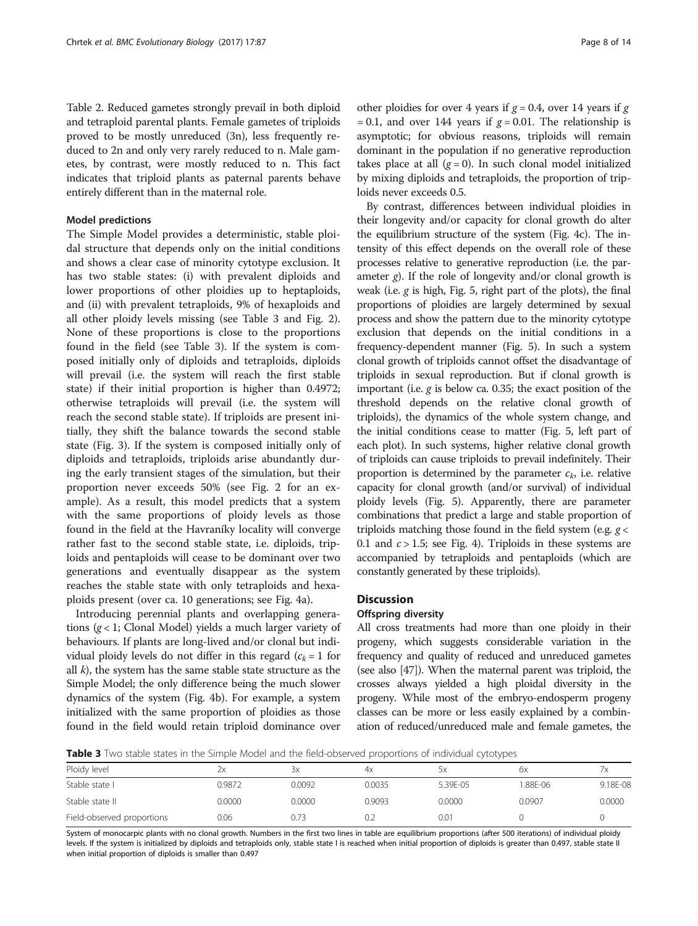<span id="page-7-0"></span>Table [2](#page-6-0). Reduced gametes strongly prevail in both diploid and tetraploid parental plants. Female gametes of triploids proved to be mostly unreduced (3n), less frequently reduced to 2n and only very rarely reduced to n. Male gametes, by contrast, were mostly reduced to n. This fact indicates that triploid plants as paternal parents behave entirely different than in the maternal role.

#### Model predictions

The Simple Model provides a deterministic, stable ploidal structure that depends only on the initial conditions and shows a clear case of minority cytotype exclusion. It has two stable states: (i) with prevalent diploids and lower proportions of other ploidies up to heptaploids, and (ii) with prevalent tetraploids, 9% of hexaploids and all other ploidy levels missing (see Table 3 and Fig. [2](#page-8-0)). None of these proportions is close to the proportions found in the field (see Table 3). If the system is composed initially only of diploids and tetraploids, diploids will prevail (i.e. the system will reach the first stable state) if their initial proportion is higher than 0.4972; otherwise tetraploids will prevail (i.e. the system will reach the second stable state). If triploids are present initially, they shift the balance towards the second stable state (Fig. [3\)](#page-8-0). If the system is composed initially only of diploids and tetraploids, triploids arise abundantly during the early transient stages of the simulation, but their proportion never exceeds 50% (see Fig. [2](#page-8-0) for an example). As a result, this model predicts that a system with the same proportions of ploidy levels as those found in the field at the Havraníky locality will converge rather fast to the second stable state, i.e. diploids, triploids and pentaploids will cease to be dominant over two generations and eventually disappear as the system reaches the stable state with only tetraploids and hexaploids present (over ca. 10 generations; see Fig. [4a\)](#page-9-0).

Introducing perennial plants and overlapping generations  $(g < 1$ ; Clonal Model) yields a much larger variety of behaviours. If plants are long-lived and/or clonal but individual ploidy levels do not differ in this regard  $(c_k = 1$  for all  $k$ ), the system has the same stable state structure as the Simple Model; the only difference being the much slower dynamics of the system (Fig. [4b\)](#page-9-0). For example, a system initialized with the same proportion of ploidies as those found in the field would retain triploid dominance over other ploidies for over 4 years if  $g = 0.4$ , over 14 years if g = 0.1, and over 144 years if  $g = 0.01$ . The relationship is asymptotic; for obvious reasons, triploids will remain dominant in the population if no generative reproduction takes place at all  $(g = 0)$ . In such clonal model initialized by mixing diploids and tetraploids, the proportion of triploids never exceeds 0.5.

By contrast, differences between individual ploidies in their longevity and/or capacity for clonal growth do alter the equilibrium structure of the system (Fig. [4c\)](#page-9-0). The intensity of this effect depends on the overall role of these processes relative to generative reproduction (i.e. the parameter  $g$ ). If the role of longevity and/or clonal growth is weak (i.e.  $g$  is high, Fig. [5,](#page-10-0) right part of the plots), the final proportions of ploidies are largely determined by sexual process and show the pattern due to the minority cytotype exclusion that depends on the initial conditions in a frequency-dependent manner (Fig. [5\)](#page-10-0). In such a system clonal growth of triploids cannot offset the disadvantage of triploids in sexual reproduction. But if clonal growth is important (i.e.  $g$  is below ca. 0.35; the exact position of the threshold depends on the relative clonal growth of triploids), the dynamics of the whole system change, and the initial conditions cease to matter (Fig. [5,](#page-10-0) left part of each plot). In such systems, higher relative clonal growth of triploids can cause triploids to prevail indefinitely. Their proportion is determined by the parameter  $c_k$ , i.e. relative capacity for clonal growth (and/or survival) of individual ploidy levels (Fig. [5](#page-10-0)). Apparently, there are parameter combinations that predict a large and stable proportion of triploids matching those found in the field system (e.g.  $g <$ 0.1 and  $c > 1.5$ ; see Fig. [4\)](#page-9-0). Triploids in these systems are accompanied by tetraploids and pentaploids (which are constantly generated by these triploids).

## **Discussion**

## Offspring diversity

All cross treatments had more than one ploidy in their progeny, which suggests considerable variation in the frequency and quality of reduced and unreduced gametes (see also [\[47\]](#page-12-0)). When the maternal parent was triploid, the crosses always yielded a high ploidal diversity in the progeny. While most of the embryo-endosperm progeny classes can be more or less easily explained by a combination of reduced/unreduced male and female gametes, the

**Table 3** Two stable states in the Simple Model and the field-observed proportions of individual cytotypes

|                            |        |        |        | .        |        |          |
|----------------------------|--------|--------|--------|----------|--------|----------|
| Ploidy level               | 2x     | ЗΧ     | 4x     | ЬΧ       | bх     |          |
| Stable state I             | 0.9872 | 0.0092 | 0.0035 | 5.39E-05 | 88F-06 | 9.18E-08 |
| Stable state II            | 0.0000 | 0.0000 | 0.9093 | 0.0000   | 0.0907 | 0.0000   |
| Field-observed proportions | 0.06   | 0.73   | 0.2    | 0.01     |        |          |

System of monocarpic plants with no clonal growth. Numbers in the first two lines in table are equilibrium proportions (after 500 iterations) of individual ploidy levels. If the system is initialized by diploids and tetraploids only, stable state I is reached when initial proportion of diploids is greater than 0.497, stable state II when initial proportion of diploids is smaller than 0.497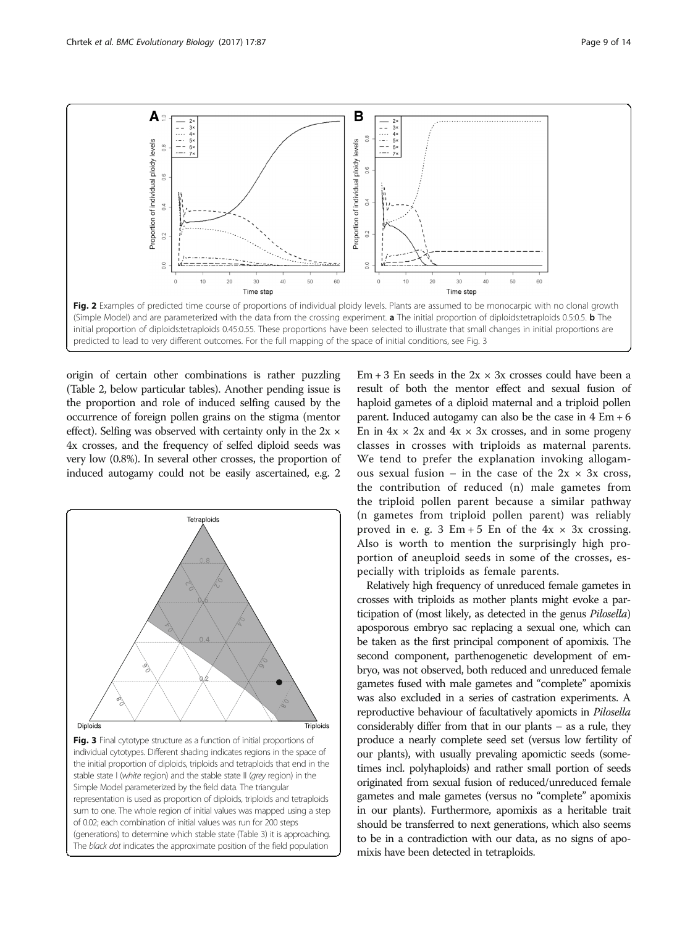<span id="page-8-0"></span>

origin of certain other combinations is rather puzzling (Table [2,](#page-6-0) below particular tables). Another pending issue is the proportion and role of induced selfing caused by the occurrence of foreign pollen grains on the stigma (mentor effect). Selfing was observed with certainty only in the  $2x \times$ 4x crosses, and the frequency of selfed diploid seeds was very low (0.8%). In several other crosses, the proportion of induced autogamy could not be easily ascertained, e.g. 2



Em  $+3$  En seeds in the  $2x \times 3x$  crosses could have been a result of both the mentor effect and sexual fusion of haploid gametes of a diploid maternal and a triploid pollen parent. Induced autogamy can also be the case in 4 Em + 6 En in  $4x \times 2x$  and  $4x \times 3x$  crosses, and in some progeny classes in crosses with triploids as maternal parents. We tend to prefer the explanation invoking allogamous sexual fusion – in the case of the  $2x \times 3x$  cross, the contribution of reduced (n) male gametes from the triploid pollen parent because a similar pathway (n gametes from triploid pollen parent) was reliably proved in e. g. 3 Em + 5 En of the  $4x \times 3x$  crossing. Also is worth to mention the surprisingly high proportion of aneuploid seeds in some of the crosses, especially with triploids as female parents.

Relatively high frequency of unreduced female gametes in crosses with triploids as mother plants might evoke a participation of (most likely, as detected in the genus Pilosella) aposporous embryo sac replacing a sexual one, which can be taken as the first principal component of apomixis. The second component, parthenogenetic development of embryo, was not observed, both reduced and unreduced female gametes fused with male gametes and "complete" apomixis was also excluded in a series of castration experiments. A reproductive behaviour of facultatively apomicts in Pilosella considerably differ from that in our plants – as a rule, they produce a nearly complete seed set (versus low fertility of our plants), with usually prevaling apomictic seeds (sometimes incl. polyhaploids) and rather small portion of seeds originated from sexual fusion of reduced/unreduced female gametes and male gametes (versus no "complete" apomixis in our plants). Furthermore, apomixis as a heritable trait should be transferred to next generations, which also seems to be in a contradiction with our data, as no signs of apomixis have been detected in tetraploids.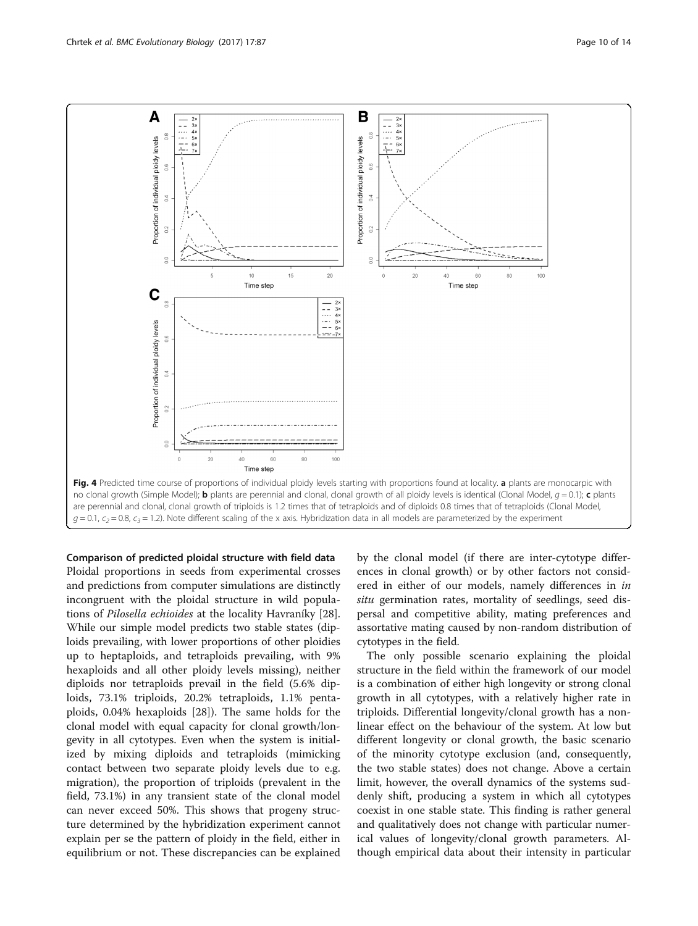<span id="page-9-0"></span>

Comparison of predicted ploidal structure with field data Ploidal proportions in seeds from experimental crosses and predictions from computer simulations are distinctly incongruent with the ploidal structure in wild populations of Pilosella echioides at the locality Havraníky [\[28](#page-12-0)]. While our simple model predicts two stable states (diploids prevailing, with lower proportions of other ploidies up to heptaploids, and tetraploids prevailing, with 9% hexaploids and all other ploidy levels missing), neither diploids nor tetraploids prevail in the field (5.6% diploids, 73.1% triploids, 20.2% tetraploids, 1.1% pentaploids, 0.04% hexaploids [[28\]](#page-12-0)). The same holds for the clonal model with equal capacity for clonal growth/longevity in all cytotypes. Even when the system is initialized by mixing diploids and tetraploids (mimicking contact between two separate ploidy levels due to e.g. migration), the proportion of triploids (prevalent in the field, 73.1%) in any transient state of the clonal model can never exceed 50%. This shows that progeny structure determined by the hybridization experiment cannot explain per se the pattern of ploidy in the field, either in equilibrium or not. These discrepancies can be explained by the clonal model (if there are inter-cytotype differences in clonal growth) or by other factors not considered in either of our models, namely differences in in situ germination rates, mortality of seedlings, seed dispersal and competitive ability, mating preferences and assortative mating caused by non-random distribution of cytotypes in the field.

The only possible scenario explaining the ploidal structure in the field within the framework of our model is a combination of either high longevity or strong clonal growth in all cytotypes, with a relatively higher rate in triploids. Differential longevity/clonal growth has a nonlinear effect on the behaviour of the system. At low but different longevity or clonal growth, the basic scenario of the minority cytotype exclusion (and, consequently, the two stable states) does not change. Above a certain limit, however, the overall dynamics of the systems suddenly shift, producing a system in which all cytotypes coexist in one stable state. This finding is rather general and qualitatively does not change with particular numerical values of longevity/clonal growth parameters. Although empirical data about their intensity in particular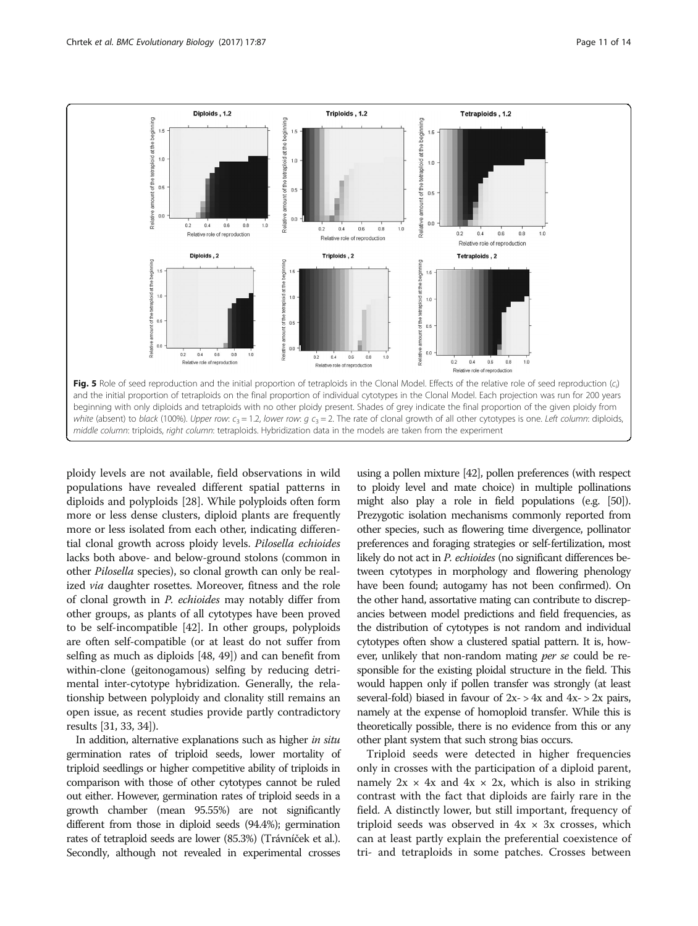<span id="page-10-0"></span>

ploidy levels are not available, field observations in wild populations have revealed different spatial patterns in diploids and polyploids [\[28](#page-12-0)]. While polyploids often form more or less dense clusters, diploid plants are frequently more or less isolated from each other, indicating differential clonal growth across ploidy levels. Pilosella echioides lacks both above- and below-ground stolons (common in other Pilosella species), so clonal growth can only be realized via daughter rosettes. Moreover, fitness and the role of clonal growth in P. echioides may notably differ from other groups, as plants of all cytotypes have been proved to be self-incompatible [[42](#page-12-0)]. In other groups, polyploids are often self-compatible (or at least do not suffer from selfing as much as diploids [[48](#page-12-0), [49](#page-13-0)]) and can benefit from within-clone (geitonogamous) selfing by reducing detrimental inter-cytotype hybridization. Generally, the relationship between polyploidy and clonality still remains an open issue, as recent studies provide partly contradictory results [[31](#page-12-0), [33, 34\]](#page-12-0)).

In addition, alternative explanations such as higher in situ germination rates of triploid seeds, lower mortality of triploid seedlings or higher competitive ability of triploids in comparison with those of other cytotypes cannot be ruled out either. However, germination rates of triploid seeds in a growth chamber (mean 95.55%) are not significantly different from those in diploid seeds (94.4%); germination rates of tetraploid seeds are lower (85.3%) (Trávníček et al.). Secondly, although not revealed in experimental crosses

using a pollen mixture [\[42](#page-12-0)], pollen preferences (with respect to ploidy level and mate choice) in multiple pollinations might also play a role in field populations (e.g. [\[50\]](#page-13-0)). Prezygotic isolation mechanisms commonly reported from other species, such as flowering time divergence, pollinator preferences and foraging strategies or self-fertilization, most likely do not act in P. echioides (no significant differences between cytotypes in morphology and flowering phenology have been found; autogamy has not been confirmed). On the other hand, assortative mating can contribute to discrepancies between model predictions and field frequencies, as the distribution of cytotypes is not random and individual cytotypes often show a clustered spatial pattern. It is, however, unlikely that non-random mating *per se* could be responsible for the existing ploidal structure in the field. This would happen only if pollen transfer was strongly (at least several-fold) biased in favour of  $2x - > 4x$  and  $4x - > 2x$  pairs, namely at the expense of homoploid transfer. While this is theoretically possible, there is no evidence from this or any other plant system that such strong bias occurs.

Triploid seeds were detected in higher frequencies only in crosses with the participation of a diploid parent, namely  $2x \times 4x$  and  $4x \times 2x$ , which is also in striking contrast with the fact that diploids are fairly rare in the field. A distinctly lower, but still important, frequency of triploid seeds was observed in  $4x \times 3x$  crosses, which can at least partly explain the preferential coexistence of tri- and tetraploids in some patches. Crosses between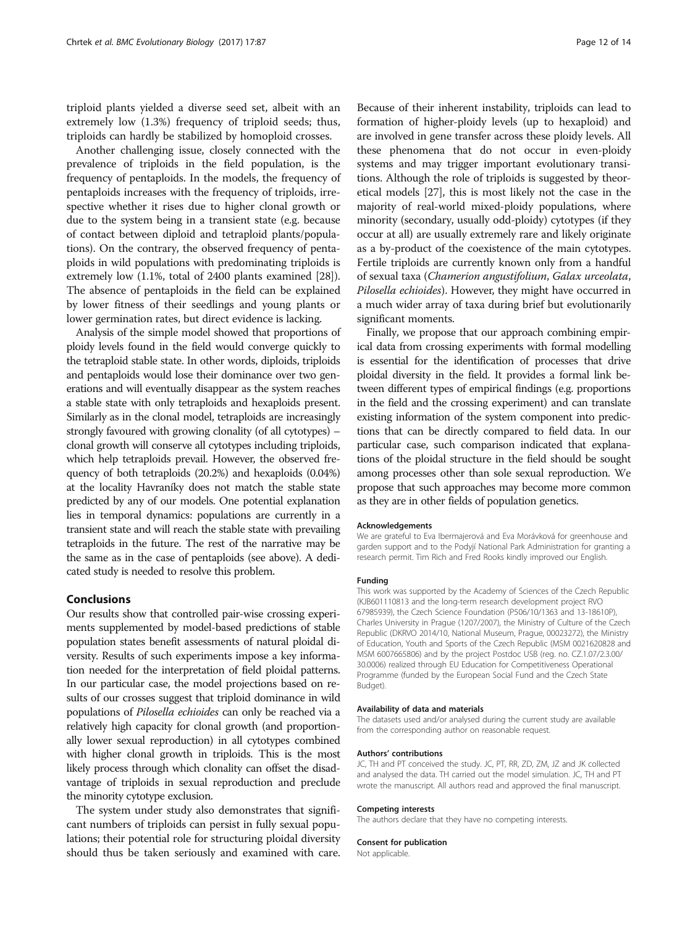triploid plants yielded a diverse seed set, albeit with an extremely low (1.3%) frequency of triploid seeds; thus, triploids can hardly be stabilized by homoploid crosses.

Another challenging issue, closely connected with the prevalence of triploids in the field population, is the frequency of pentaploids. In the models, the frequency of pentaploids increases with the frequency of triploids, irrespective whether it rises due to higher clonal growth or due to the system being in a transient state (e.g. because of contact between diploid and tetraploid plants/populations). On the contrary, the observed frequency of pentaploids in wild populations with predominating triploids is extremely low (1.1%, total of 2400 plants examined [[28](#page-12-0)]). The absence of pentaploids in the field can be explained by lower fitness of their seedlings and young plants or lower germination rates, but direct evidence is lacking.

Analysis of the simple model showed that proportions of ploidy levels found in the field would converge quickly to the tetraploid stable state. In other words, diploids, triploids and pentaploids would lose their dominance over two generations and will eventually disappear as the system reaches a stable state with only tetraploids and hexaploids present. Similarly as in the clonal model, tetraploids are increasingly strongly favoured with growing clonality (of all cytotypes) – clonal growth will conserve all cytotypes including triploids, which help tetraploids prevail. However, the observed frequency of both tetraploids (20.2%) and hexaploids (0.04%) at the locality Havraníky does not match the stable state predicted by any of our models. One potential explanation lies in temporal dynamics: populations are currently in a transient state and will reach the stable state with prevailing tetraploids in the future. The rest of the narrative may be the same as in the case of pentaploids (see above). A dedicated study is needed to resolve this problem.

## Conclusions

Our results show that controlled pair-wise crossing experiments supplemented by model-based predictions of stable population states benefit assessments of natural ploidal diversity. Results of such experiments impose a key information needed for the interpretation of field ploidal patterns. In our particular case, the model projections based on results of our crosses suggest that triploid dominance in wild populations of Pilosella echioides can only be reached via a relatively high capacity for clonal growth (and proportionally lower sexual reproduction) in all cytotypes combined with higher clonal growth in triploids. This is the most likely process through which clonality can offset the disadvantage of triploids in sexual reproduction and preclude the minority cytotype exclusion.

The system under study also demonstrates that significant numbers of triploids can persist in fully sexual populations; their potential role for structuring ploidal diversity should thus be taken seriously and examined with care.

Because of their inherent instability, triploids can lead to formation of higher-ploidy levels (up to hexaploid) and are involved in gene transfer across these ploidy levels. All these phenomena that do not occur in even-ploidy systems and may trigger important evolutionary transitions. Although the role of triploids is suggested by theoretical models [\[27\]](#page-12-0), this is most likely not the case in the majority of real-world mixed-ploidy populations, where minority (secondary, usually odd-ploidy) cytotypes (if they occur at all) are usually extremely rare and likely originate as a by-product of the coexistence of the main cytotypes. Fertile triploids are currently known only from a handful of sexual taxa (Chamerion angustifolium, Galax urceolata, Pilosella echioides). However, they might have occurred in a much wider array of taxa during brief but evolutionarily significant moments.

Finally, we propose that our approach combining empirical data from crossing experiments with formal modelling is essential for the identification of processes that drive ploidal diversity in the field. It provides a formal link between different types of empirical findings (e.g. proportions in the field and the crossing experiment) and can translate existing information of the system component into predictions that can be directly compared to field data. In our particular case, such comparison indicated that explanations of the ploidal structure in the field should be sought among processes other than sole sexual reproduction. We propose that such approaches may become more common as they are in other fields of population genetics.

#### Acknowledgements

We are grateful to Eva Ibermajerová and Eva Morávková for greenhouse and garden support and to the Podyjí National Park Administration for granting a research permit. Tim Rich and Fred Rooks kindly improved our English.

#### Funding

This work was supported by the Academy of Sciences of the Czech Republic (KJB601110813 and the long-term research development project RVO 67985939), the Czech Science Foundation (P506/10/1363 and 13-18610P), Charles University in Prague (1207/2007), the Ministry of Culture of the Czech Republic (DKRVO 2014/10, National Museum, Prague, 00023272), the Ministry of Education, Youth and Sports of the Czech Republic (MSM 0021620828 and MSM 6007665806) and by the project Postdoc USB (reg. no. CZ.1.07/2.3.00/ 30.0006) realized through EU Education for Competitiveness Operational Programme (funded by the European Social Fund and the Czech State Budget).

#### Availability of data and materials

The datasets used and/or analysed during the current study are available from the corresponding author on reasonable request.

#### Authors' contributions

JC, TH and PT conceived the study. JC, PT, RR, ZD, ZM, JZ and JK collected and analysed the data. TH carried out the model simulation. JC, TH and PT wrote the manuscript. All authors read and approved the final manuscript.

#### Competing interests

The authors declare that they have no competing interests.

#### Consent for publication

Not applicable.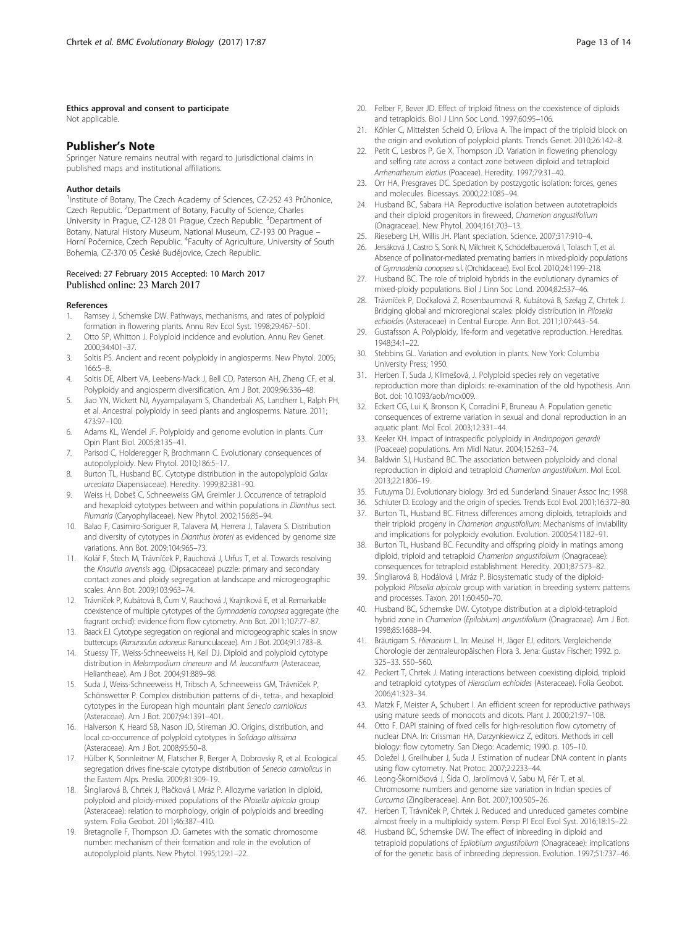#### <span id="page-12-0"></span>Ethics approval and consent to participate

Not applicable.

## Publisher's Note

Springer Nature remains neutral with regard to jurisdictional claims in published maps and institutional affiliations.

#### Author details

<sup>1</sup>Institute of Botany, The Czech Academy of Sciences, CZ-252 43 Průhonice, Czech Republic. <sup>2</sup>Department of Botany, Faculty of Science, Charles University in Prague, CZ-128 01 Prague, Czech Republic. <sup>3</sup>Department of Botany, Natural History Museum, National Museum, CZ-193 00 Prague – Horní Počernice, Czech Republic. <sup>4</sup>Faculty of Agriculture, University of South Bohemia, CZ-370 05 České Budějovice, Czech Republic.

#### Received: 27 February 2015 Accepted: 10 March 2017 Published online: 23 March 2017

#### References

- 1. Ramsey J, Schemske DW. Pathways, mechanisms, and rates of polyploid formation in flowering plants. Annu Rev Ecol Syst. 1998;29:467–501.
- 2. Otto SP, Whitton J. Polyploid incidence and evolution. Annu Rev Genet. 2000;34:401–37.
- 3. Soltis PS. Ancient and recent polyploidy in angiosperms. New Phytol. 2005; 166:5–8.
- 4. Soltis DE, Albert VA, Leebens-Mack J, Bell CD, Paterson AH, Zheng CF, et al. Polyploidy and angiosperm diversification. Am J Bot. 2009;96:336–48.
- 5. Jiao YN, Wickett NJ, Ayyampalayam S, Chanderbali AS, Landherr L, Ralph PH, et al. Ancestral polyploidy in seed plants and angiosperms. Nature. 2011; 473:97–100.
- 6. Adams KL, Wendel JF. Polyploidy and genome evolution in plants. Curr Opin Plant Biol. 2005;8:135–41.
- 7. Parisod C, Holderegger R, Brochmann C. Evolutionary consequences of autopolyploidy. New Phytol. 2010;186:5–17.
- 8. Burton TL, Husband BC. Cytotype distribution in the autopolyploid Galax urceolata Diapensiaceae). Heredity. 1999;82:381–90.
- 9. Weiss H, Dobeš C, Schneeweiss GM, Greimler J. Occurrence of tetraploid and hexaploid cytotypes between and within populations in Dianthus sect. Plumaria (Caryophyllaceae). New Phytol. 2002;156:85–94.
- 10. Balao F, Casimiro-Soriguer R, Talavera M, Herrera J, Talavera S. Distribution and diversity of cytotypes in Dianthus broteri as evidenced by genome size variations. Ann Bot. 2009;104:965–73.
- 11. Kolář F, Štech M, Trávníček P, Rauchová J, Urfus T, et al. Towards resolving the Knautia arvensis agg. (Dipsacaceae) puzzle: primary and secondary contact zones and ploidy segregation at landscape and microgeographic scales. Ann Bot. 2009;103:963–74.
- 12. Trávníček P, Kubátová B, Čurn V, Rauchová J, Krajníková E, et al. Remarkable coexistence of multiple cytotypes of the Gymnadenia conopsea aggregate (the fragrant orchid): evidence from flow cytometry. Ann Bot. 2011;107:77–87.
- 13. Baack EJ. Cytotype segregation on regional and microgeographic scales in snow buttercups (Ranunculus adoneus: Ranunculaceae). Am J Bot. 2004;91:1783–8.
- 14. Stuessy TF, Weiss-Schneeweiss H, Keil DJ. Diploid and polyploid cytotype distribution in Melampodium cinereum and M. leucanthum (Asteraceae, Heliantheae). Am J Bot. 2004;91:889–98.
- 15. Suda J, Weiss-Schneeweiss H, Tribsch A, Schneeweiss GM, Trávníček P, Schönswetter P. Complex distribution patterns of di-, tetra-, and hexaploid cytotypes in the European high mountain plant Senecio carniolicus (Asteraceae). Am J Bot. 2007;94:1391–401.
- 16. Halverson K, Heard SB, Nason JD, Stireman JO. Origins, distribution, and local co-occurrence of polyploid cytotypes in Solidago altissima (Asteraceae). Am J Bot. 2008;95:50–8.
- 17. Hülber K, Sonnleitner M, Flatscher R, Berger A, Dobrovsky R, et al. Ecological segregation drives fine-scale cytotype distribution of Senecio carniolicus in the Eastern Alps. Preslia. 2009;81:309–19.
- 18. Šingliarová B, Chrtek J, Plačková I, Mráz P. Allozyme variation in diploid, polyploid and ploidy-mixed populations of the Pilosella alpicola group (Asteraceae): relation to morphology, origin of polyploids and breeding system. Folia Geobot. 2011;46:387–410.
- 19. Bretagnolle F, Thompson JD. Gametes with the somatic chromosome number: mechanism of their formation and role in the evolution of autopolyploid plants. New Phytol. 1995;129:1–22.
- 20. Felber F, Bever JD. Effect of triploid fitness on the coexistence of diploids and tetraploids. Biol J Linn Soc Lond. 1997;60:95–106.
- 21. Köhler C, Mittelsten Scheid O, Erilova A. The impact of the triploid block on the origin and evolution of polyploid plants. Trends Genet. 2010;26:142–8.
- 22. Petit C, Lesbros P, Ge X, Thompson JD. Variation in flowering phenology and selfing rate across a contact zone between diploid and tetraploid Arrhenatherum elatius (Poaceae). Heredity. 1997;79:31–40.
- 23. Orr HA, Presgraves DC. Speciation by postzygotic isolation: forces, genes and molecules. Bioessays. 2000;22:1085–94.
- 24. Husband BC, Sabara HA. Reproductive isolation between autotetraploids and their diploid progenitors in fireweed, Chamerion angustifolium (Onagraceae). New Phytol. 2004;161:703–13.
- 25. Rieseberg LH, Willis JH. Plant speciation. Science. 2007;317:910–4.
- 26. Jersáková J, Castro S, Sonk N, Milchreit K, Schödelbauerová I, Tolasch T, et al. Absence of pollinator-mediated premating barriers in mixed-ploidy populations of Gymnadenia conopsea s.l. (Orchidaceae). Evol Ecol. 2010;24:1199–218.
- 27. Husband BC. The role of triploid hybrids in the evolutionary dynamics of mixed-ploidy populations. Biol J Linn Soc Lond. 2004;82:537–46.
- 28. Trávníček P, Dočkalová Z, Rosenbaumová R, Kubátová B, Szeląg Z, Chrtek J. Bridging global and microregional scales: ploidy distribution in Pilosella echioides (Asteraceae) in Central Europe. Ann Bot. 2011;107:443–54.
- 29. Gustafsson A. Polyploidy, life-form and vegetative reproduction. Hereditas. 1948;34:1–22.
- 30. Stebbins GL. Variation and evolution in plants. New York: Columbia University Press; 1950.
- 31. Herben T, Suda J, Klimešová, J. Polyploid species rely on vegetative reproduction more than diploids: re-examination of the old hypothesis. Ann Bot. doi: [10.1093/aob/mcx009.](http://dx.doi.org/10.1093/aob/mcx009)
- 32. Eckert CG, Lui K, Bronson K, Corradini P, Bruneau A. Population genetic consequences of extreme variation in sexual and clonal reproduction in an aquatic plant. Mol Ecol. 2003;12:331–44.
- 33. Keeler KH. Impact of intraspecific polyploidy in Andropogon gerardii (Poaceae) populations. Am Midl Natur. 2004;152:63–74.
- 34. Baldwin SJ, Husband BC. The association between polyploidy and clonal reproduction in diploid and tetraploid Chamerion angustifolium. Mol Ecol. 2013;22:1806–19.
- 35. Futuyma DJ. Evolutionary biology. 3rd ed. Sunderland: Sinauer Assoc Inc; 1998.
- 36. Schluter D. Ecology and the origin of species. Trends Ecol Evol. 2001;16:372–80.
- 37. Burton TL, Husband BC. Fitness differences among diploids, tetraploids and their triploid progeny in Chamerion angustifolium: Mechanisms of inviability and implications for polyploidy evolution. Evolution. 2000;54:1182–91.
- 38. Burton TL, Husband BC. Fecundity and offspring ploidy in matings among diploid, triploid and tetraploid Chamerion angustifolium (Onagraceae): consequences for tetraploid establishment. Heredity. 2001;87:573–82.
- Šingliarová B, Hodálová I, Mráz P. Biosystematic study of the diploidpolyploid Pilosella alpicola group with variation in breeding system: patterns and processes. Taxon. 2011;60:450–70.
- 40. Husband BC, Schemske DW. Cytotype distribution at a diploid-tetraploid hybrid zone in Chamerion (Epilobium) angustifolium (Onagraceae). Am J Bot. 1998;85:1688–94.
- 41. Bräutigam S. Hieracium L. In: Meusel H, Jäger EJ, editors. Vergleichende Chorologie der zentraleuropäischen Flora 3. Jena: Gustav Fischer; 1992. p. 325–33. 550–560.
- 42. Peckert T, Chrtek J. Mating interactions between coexisting diploid, triploid and tetraploid cytotypes of Hieracium echioides (Asteraceae). Folia Geobot. 2006;41:323–34.
- 43. Matzk F, Meister A, Schubert I. An efficient screen for reproductive pathways using mature seeds of monocots and dicots. Plant J. 2000;21:97–108.
- 44. Otto F. DAPI staining of fixed cells for high-resolution flow cytometry of nuclear DNA. In: Crissman HA, Darzynkiewicz Z, editors. Methods in cell biology: flow cytometry. San Diego: Academic; 1990. p. 105–10.
- 45. Doležel J, Greilhuber J, Suda J. Estimation of nuclear DNA content in plants using flow cytometry. Nat Protoc. 2007;2:2233–44.
- 46. Leong-Škorničková J, Šída O, Jarolímová V, Sabu M, Fér T, et al. Chromosome numbers and genome size variation in Indian species of Curcuma (Zingiberaceae). Ann Bot. 2007;100:505–26.
- 47. Herben T, Trávníček P, Chrtek J. Reduced and unreduced gametes combine almost freely in a multiploidy system. Persp Pl Ecol Evol Syst. 2016;18:15–22.
- 48. Husband BC, Schemske DW. The effect of inbreeding in diploid and tetraploid populations of Epilobium angustifolium (Onagraceae): implications of for the genetic basis of inbreeding depression. Evolution. 1997;51:737–46.